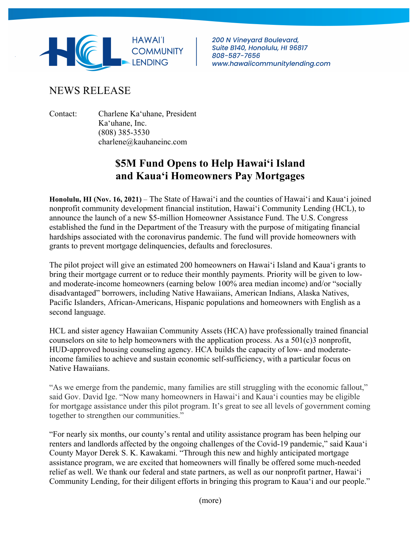

**200 N Vinevard Boulevard,** Suite B140, Honolulu, HI 96817 808-587-7656 www.hawaiicommunitylending.com

# NEWS RELEASE

Contact: Charlene Ka'uhane, President Ka'uhane, Inc. (808) 385-3530 charlene@kauhaneinc.com

# **\$5M Fund Opens to Help Hawai'i Island and Kaua'i Homeowners Pay Mortgages**

**Honolulu, HI (Nov. 16, 2021)** – The State of Hawai'i and the counties of Hawai'i and Kaua'i joined nonprofit community development financial institution, Hawai'i Community Lending (HCL), to announce the launch of a new \$5-million Homeowner Assistance Fund. The U.S. Congress established the fund in the Department of the Treasury with the purpose of mitigating financial hardships associated with the coronavirus pandemic. The fund will provide homeowners with grants to prevent mortgage delinquencies, defaults and foreclosures.

The pilot project will give an estimated 200 homeowners on Hawai'i Island and Kaua'i grants to bring their mortgage current or to reduce their monthly payments. Priority will be given to lowand moderate-income homeowners (earning below 100% area median income) and/or "socially disadvantaged" borrowers, including Native Hawaiians, American Indians, Alaska Natives, Pacific Islanders, African-Americans, Hispanic populations and homeowners with English as a second language.

HCL and sister agency Hawaiian Community Assets (HCA) have professionally trained financial counselors on site to help homeowners with the application process. As a 501(c)3 nonprofit, HUD-approved housing counseling agency. HCA builds the capacity of low- and moderateincome families to achieve and sustain economic self-sufficiency, with a particular focus on Native Hawaiians.

"As we emerge from the pandemic, many families are still struggling with the economic fallout," said Gov. David Ige. "Now many homeowners in Hawaiʻi and Kauaʻi counties may be eligible for mortgage assistance under this pilot program. It's great to see all levels of government coming together to strengthen our communities."

"For nearly six months, our county's rental and utility assistance program has been helping our renters and landlords affected by the ongoing challenges of the Covid-19 pandemic," said Kaua'i County Mayor Derek S. K. Kawakami. "Through this new and highly anticipated mortgage assistance program, we are excited that homeowners will finally be offered some much-needed relief as well. We thank our federal and state partners, as well as our nonprofit partner, Hawai'i Community Lending, for their diligent efforts in bringing this program to Kaua'i and our people."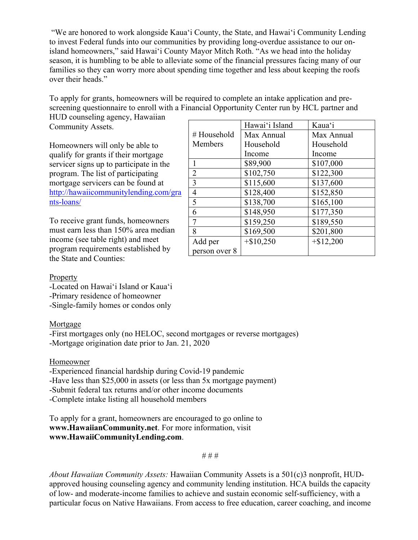"We are honored to work alongside Kauaʻi County, the State, and Hawaiʻi Community Lending to invest Federal funds into our communities by providing long-overdue assistance to our onisland homeowners," said Hawaiʻi County Mayor Mitch Roth. "As we head into the holiday season, it is humbling to be able to alleviate some of the financial pressures facing many of our families so they can worry more about spending time together and less about keeping the roofs over their heads."

To apply for grants, homeowners will be required to complete an intake application and prescreening questionnaire to enroll with a Financial Opportunity Center run by HCL partner and

HUD counseling agency, Hawaiian Community Assets.

Homeowners will only be able to qualify for grants if their mortgage servicer signs up to participate in the program. The list of participating mortgage servicers can be found at http://hawaiicommunitylending.com/gra nts-loans/

To receive grant funds, homeowners must earn less than 150% area median income (see table right) and meet program requirements established by the State and Counties:

|                | Hawai'i Island | Kaua'i       |
|----------------|----------------|--------------|
| #Household     | Max Annual     | Max Annual   |
| Members        | Household      | Household    |
|                | Income         | Income       |
| $\mathbf{1}$   | \$89,900       | \$107,000    |
| $\overline{2}$ | \$102,750      | \$122,300    |
| $\overline{3}$ | \$115,600      | \$137,600    |
| $\overline{4}$ | \$128,400      | \$152,850    |
| $\overline{5}$ | \$138,700      | \$165,100    |
| 6              | \$148,950      | \$177,350    |
| 7              | \$159,250      | \$189,550    |
| 8              | \$169,500      | \$201,800    |
| Add per        | $+$10,250$     | $+$ \$12,200 |
| person over 8  |                |              |

#### **Property**

-Located on Hawai'i Island or Kaua'i -Primary residence of homeowner -Single-family homes or condos only

## Mortgage

-First mortgages only (no HELOC, second mortgages or reverse mortgages) -Mortgage origination date prior to Jan. 21, 2020

## Homeowner

-Experienced financial hardship during Covid-19 pandemic -Have less than \$25,000 in assets (or less than 5x mortgage payment) -Submit federal tax returns and/or other income documents

-Complete intake listing all household members

To apply for a grant, homeowners are encouraged to go online to **www.HawaiianCommunity.net**. For more information, visit **www.HawaiiCommunityLending.com**.

# # #

*About Hawaiian Community Assets:* Hawaiian Community Assets is a 501(c)3 nonprofit, HUDapproved housing counseling agency and community lending institution. HCA builds the capacity of low- and moderate-income families to achieve and sustain economic self-sufficiency, with a particular focus on Native Hawaiians. From access to free education, career coaching, and income